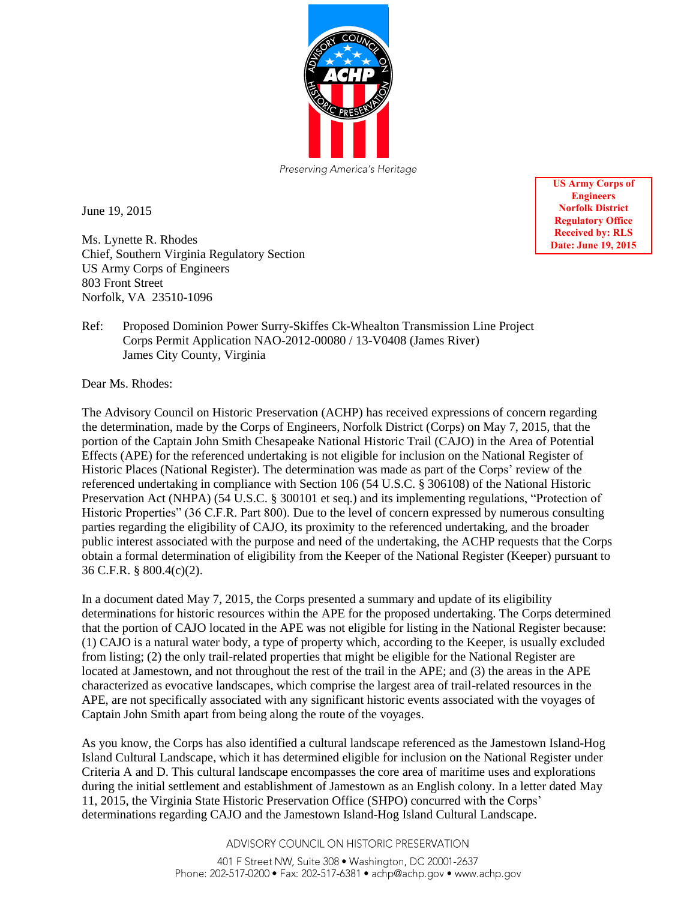

June 19, 2015

Ms. Lynette R. Rhodes Chief, Southern Virginia Regulatory Section US Army Corps of Engineers 803 Front Street Norfolk, VA 23510-1096

**US Army Corps of Engineers Norfolk District Regulatory Office Received by: RLS Date: June 19, 2015** 

Ref: Proposed Dominion Power Surry-Skiffes Ck-Whealton Transmission Line Project Corps Permit Application NAO-2012-00080 / 13-V0408 (James River) James City County, Virginia

Dear Ms. Rhodes:

The Advisory Council on Historic Preservation (ACHP) has received expressions of concern regarding the determination, made by the Corps of Engineers, Norfolk District (Corps) on May 7, 2015, that the portion of the Captain John Smith Chesapeake National Historic Trail (CAJO) in the Area of Potential Effects (APE) for the referenced undertaking is not eligible for inclusion on the National Register of Historic Places (National Register). The determination was made as part of the Corps' review of the referenced undertaking in compliance with Section 106 (54 U.S.C. § 306108) of the National Historic Preservation Act (NHPA) (54 U.S.C. § 300101 et seq.) and its implementing regulations, "Protection of Historic Properties" (36 C.F.R. Part 800). Due to the level of concern expressed by numerous consulting parties regarding the eligibility of CAJO, its proximity to the referenced undertaking, and the broader public interest associated with the purpose and need of the undertaking, the ACHP requests that the Corps obtain a formal determination of eligibility from the Keeper of the National Register (Keeper) pursuant to 36 C.F.R. § 800.4(c)(2).

In a document dated May 7, 2015, the Corps presented a summary and update of its eligibility determinations for historic resources within the APE for the proposed undertaking. The Corps determined that the portion of CAJO located in the APE was not eligible for listing in the National Register because: (1) CAJO is a natural water body, a type of property which, according to the Keeper, is usually excluded from listing; (2) the only trail-related properties that might be eligible for the National Register are located at Jamestown, and not throughout the rest of the trail in the APE; and (3) the areas in the APE characterized as evocative landscapes, which comprise the largest area of trail-related resources in the APE, are not specifically associated with any significant historic events associated with the voyages of Captain John Smith apart from being along the route of the voyages.

As you know, the Corps has also identified a cultural landscape referenced as the Jamestown Island-Hog Island Cultural Landscape, which it has determined eligible for inclusion on the National Register under Criteria A and D. This cultural landscape encompasses the core area of maritime uses and explorations during the initial settlement and establishment of Jamestown as an English colony. In a letter dated May 11, 2015, the Virginia State Historic Preservation Office (SHPO) concurred with the Corps' determinations regarding CAJO and the Jamestown Island-Hog Island Cultural Landscape.

ADVISORY COUNCIL ON HISTORIC PRESERVATION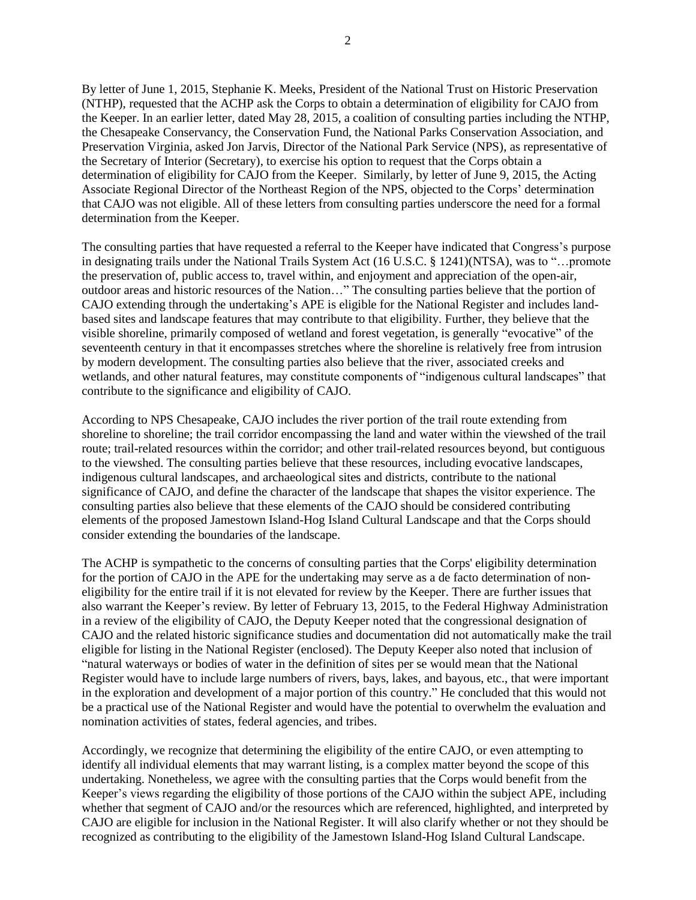By letter of June 1, 2015, Stephanie K. Meeks, President of the National Trust on Historic Preservation (NTHP), requested that the ACHP ask the Corps to obtain a determination of eligibility for CAJO from the Keeper. In an earlier letter, dated May 28, 2015, a coalition of consulting parties including the NTHP, the Chesapeake Conservancy, the Conservation Fund, the National Parks Conservation Association, and Preservation Virginia, asked Jon Jarvis, Director of the National Park Service (NPS), as representative of the Secretary of Interior (Secretary), to exercise his option to request that the Corps obtain a determination of eligibility for CAJO from the Keeper. Similarly, by letter of June 9, 2015, the Acting Associate Regional Director of the Northeast Region of the NPS, objected to the Corps' determination that CAJO was not eligible. All of these letters from consulting parties underscore the need for a formal determination from the Keeper.

The consulting parties that have requested a referral to the Keeper have indicated that Congress's purpose in designating trails under the National Trails System Act (16 U.S.C. § 1241)(NTSA), was to "…promote the preservation of, public access to, travel within, and enjoyment and appreciation of the open-air, outdoor areas and historic resources of the Nation…" The consulting parties believe that the portion of CAJO extending through the undertaking's APE is eligible for the National Register and includes landbased sites and landscape features that may contribute to that eligibility. Further, they believe that the visible shoreline, primarily composed of wetland and forest vegetation, is generally "evocative" of the seventeenth century in that it encompasses stretches where the shoreline is relatively free from intrusion by modern development. The consulting parties also believe that the river, associated creeks and wetlands, and other natural features, may constitute components of "indigenous cultural landscapes" that contribute to the significance and eligibility of CAJO.

According to NPS Chesapeake, CAJO includes the river portion of the trail route extending from shoreline to shoreline; the trail corridor encompassing the land and water within the viewshed of the trail route; trail-related resources within the corridor; and other trail-related resources beyond, but contiguous to the viewshed. The consulting parties believe that these resources, including evocative landscapes, indigenous cultural landscapes, and archaeological sites and districts, contribute to the national significance of CAJO, and define the character of the landscape that shapes the visitor experience. The consulting parties also believe that these elements of the CAJO should be considered contributing elements of the proposed Jamestown Island-Hog Island Cultural Landscape and that the Corps should consider extending the boundaries of the landscape.

The ACHP is sympathetic to the concerns of consulting parties that the Corps' eligibility determination for the portion of CAJO in the APE for the undertaking may serve as a de facto determination of noneligibility for the entire trail if it is not elevated for review by the Keeper. There are further issues that also warrant the Keeper's review. By letter of February 13, 2015, to the Federal Highway Administration in a review of the eligibility of CAJO, the Deputy Keeper noted that the congressional designation of CAJO and the related historic significance studies and documentation did not automatically make the trail eligible for listing in the National Register (enclosed). The Deputy Keeper also noted that inclusion of "natural waterways or bodies of water in the definition of sites per se would mean that the National Register would have to include large numbers of rivers, bays, lakes, and bayous, etc., that were important in the exploration and development of a major portion of this country." He concluded that this would not be a practical use of the National Register and would have the potential to overwhelm the evaluation and nomination activities of states, federal agencies, and tribes.

Accordingly, we recognize that determining the eligibility of the entire CAJO, or even attempting to identify all individual elements that may warrant listing, is a complex matter beyond the scope of this undertaking. Nonetheless, we agree with the consulting parties that the Corps would benefit from the Keeper's views regarding the eligibility of those portions of the CAJO within the subject APE, including whether that segment of CAJO and/or the resources which are referenced, highlighted, and interpreted by CAJO are eligible for inclusion in the National Register. It will also clarify whether or not they should be recognized as contributing to the eligibility of the Jamestown Island-Hog Island Cultural Landscape.